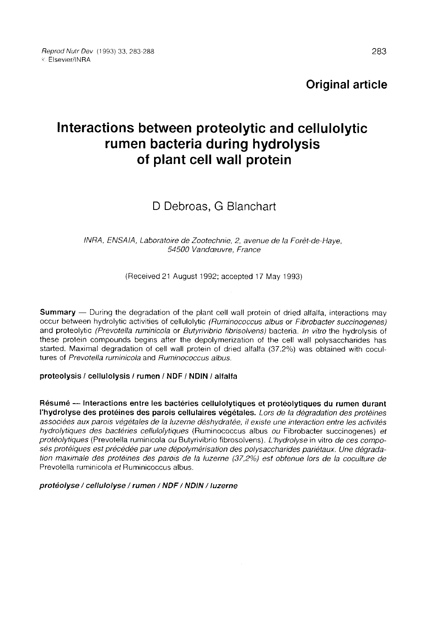Original article

# Interactions between proteolytic and cellulolytic rumen bacteria during hydrolysis of plant cell wall protein

## D Debroas, G Blanchart

#### INRA, ENSAIA, Laboratoire de Zootechnie, 2, avenue de la Forêt-de-Haye, 54500 Vandceuvre, France

(Received 21 August 1992; accepted 17 May 1993)

**Summary** — During the degradation of the plant cell wall protein of dried alfalfa, interactions may occur between hydrolytic activities of cellulolytic (Ruminococcus albus or Fibrobacter succinogenes) and proteolytic (Prevotella ruminicola or Butyrivibrio fibrisolvens) bacteria. In vitro the hydrolysis of these protein compounds begins after the depolymerization of the cell wall polysaccharides has started. Maximal degradation of cell wall protein of dried alfalfa (37.2%) was obtained with cocultures of Prevotella ruminicola and Ruminococcus albus.

#### proteolysis / cellulolysis / rumen / NDF / NDIN / alfalfa

Résumé ― Interactions entre les bactéries cellulolytiques et protéolytiques du rumen durant l'hydrolyse des protéines des parois cellulaires végétales. Lors de la dégradation des protéines associées aux parois végétales de la luzerne déshydratée, il existe une interaction entre les activités hydrolytiques des bactéries cellulolytiques (Ruminococcus albus ou Fibrobacter succinogenes) et protéolytiques (Prevotella ruminicola ou Butyrivibrio fibrosolvens). L'hydrolyse in vitro de ces composés protéiques est précédée par une dépolymérisation des polysaccharides pariétaux. Une dégradation maximale des protéines des parois de la luzerne (37,2%) est obtenue lors de la coculture de Prevotella ruminicola et Ruminicoccus albus.

#### protéolyse / celluiolyse / rumen / NDF / NDIN / luzerne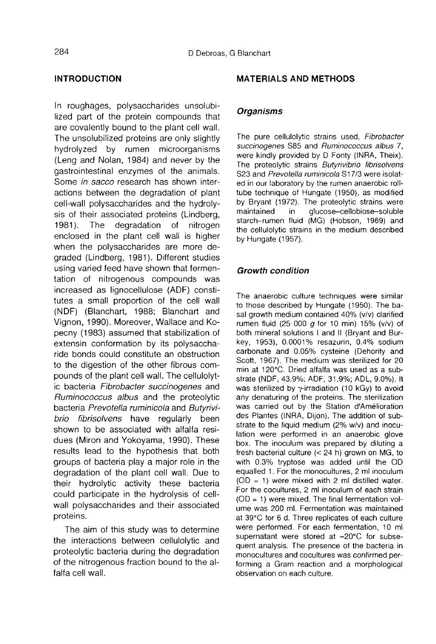## INTRODUCTION

In roughages, polysaccharides unsolubilized part of the protein compounds that are covalently bound to the plant cell wall. The unsolubilized proteins are only slightly hydrolyzed by rumen microorganisms (Leng and Nolan, 1984) and never by the gastrointestinal enzymes of the animals. Some in sacco research has shown interactions between the degradation of plant cell-wall polysaccharides and the hydrolysis of their associated proteins (Lindberg, 1981). The degradation of nitrogen degradation enclosed in the plant cell wall is higher when the polysaccharides are more degraded (Lindberg, 1981). Different studies using varied feed have shown that fermentation of nitrogenous compounds was increased as lignocellulose (ADF) constitutes a small proportion of the cell wall (NDF) (Blanchart, 1988; Blanchart and Vignon, 1990). Moreover, Wallace and Kopecny (1983) assumed that stabilization of extensin conformation by its polysaccharide bonds could constitute an obstruction to the digestion of the other fibrous compounds of the plant cell wall. The cellulolytic bacteria Fibrobacter succinogenes and Ruminococcus albus and the proteolytic bacteria Prevotella ruminicola and Butyrivibrio fibrisolvens have regularly been shown to be associated with alfalfa residues (Miron and Yokoyama, 1990). These results lead to the hypothesis that both groups of bacteria play a major role in the degradation of the plant cell wall. Due to their hydrolytic activity these bacteria could participate in the hydrolysis of cellwall polysaccharides and their associated proteins.

The aim of this study was to determine the interactions between cellulolytic and proteolytic bacteria during the degradation of the nitrogenous fraction bound to the alfalfa cell wall.

## MATERIALS AND METHODS

## **Organisms**

The pure cellulolytic strains used, Fibrobacter succinogenes S85 and Ruminococcus albus 7, were kindly provided by D Fonty (INRA, Theix). The proteolytic strains Butyrivibrio fibrisolvens S23 and Prevotella ruminicola S17/3 were isolated in our laboratory by the rumen anaerobic rolltube technique of Hungate (1950), as modified by Bryant (1972). The proteolytic strains were<br>maintained in glucose-cellobiose-soluble glucose-cellobiose-soluble starch-rumen fluid (MG) (Hobson, 1969) and the cellulolytic strains in the medium described by Hungate (1957).

## Growth condition

The anaerobic culture techniques were similar to those described by Hungate (1950). The basal growth medium contained 40% (v/v) clarified rumen fluid (25 000 g for 10 min) 15% (v/v) of both mineral solutions I and II (Bryant and Burkey, 1953), 0.0001% resazurin, 0.4% sodium carbonate and 0.05% cysteine (Dehority and Scott, 1967). The medium was sterilized for 20 min at 120°C. Dried alfalfa was used as a substrate (NDF, 43.9%; ADF, 31.9%; ADL, 9.0%). It was sterilized by  $\gamma$ -irradiation (10 kGy) to avoid any denaturing of the proteins. The sterilization was carried out by the Station d'Amélioration des Plantes (INRA, Dijon). The addition of substrate to the liquid medium (2% w/v) and inoculation were performed in an anaerobic glove box. The inoculum was prepared by diluting a fresh bacterial culture (< 24 h) grown on MG, to with 0.3% tryptose was added until the OD equalled 1. For the monocultures, 2 ml inoculum (OD = 1) were mixed with 2 ml distilled water. For the cocultures, 2 ml inoculum of each strain  $(OD = 1)$  were mixed. The final fermentation volume was 200 ml. Fermentation was maintained at 39°C for 6 d. Three replicates of each culture were performed. For each fermentation, 10 ml supernatant were stored at -20°C for subsequent analysis. The presence of the bacteria in monocultures and cocultures was confirmed performing a Gram reaction and a morphological observation on each culture.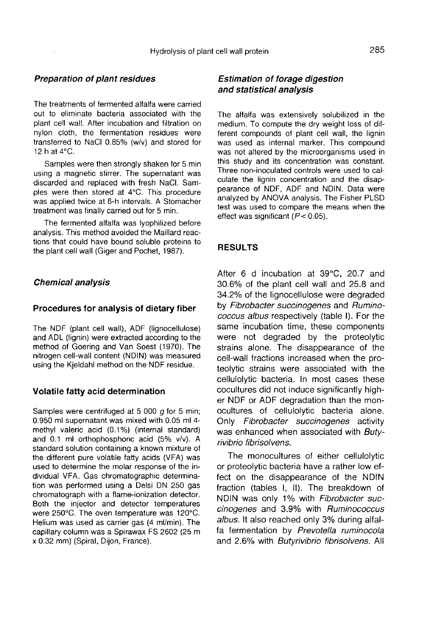## Preparation of plant residues

The treatments of fermented alfalfa were carried out to eliminate bacteria associated with the plant cell wall. After incubation and filtration on nylon cloth, the fermentation residues were transferred to NaCl 0.85% (w/v) and stored for 12 h at 4°C.

Samples were then strongly shaken for 5 min using a magnetic stirrer. The supernatant was discarded and replaced with fresh NaCI. Samples were then stored at 4°C. This procedure was applied twice at 6-h intervals. A Stomacher treatment was finally carried out for 5 min.

The fermented alfalfa was lyophilized before analysis. This method avoided the Maillard reactions that could have bound soluble proteins to the plant cell wall (Giger and Pochet, 1987).

#### Chemical analysis

#### Procedures for analysis of dietary fiber

The NDF (plant cell wall), ADF (lignocellulose) and ADL (lignin) were extracted according to the method of Goering and Van Soest (1970). The nitrogen cell-wall content (NDIN) was measured using the Kjeldahl method on the NDF residue.

#### Volatile fatty acid determination

Samples were centrifuged at 5 000  $g$  for 5 min; 0.950 ml supernatant was mixed with 0.05 ml 4 methyl valeric acid (0.1%) (internal standard) and 0.1 ml orthophosphoric acid (5% v/v). A standard solution containing a known mixture of the different pure volatile fatty acids (VFA) was used to determine the molar response of the individual VFA. Gas chromatographic determination was performed using a Delsi DN 250 gas chromatograph with a flame-ionization detector. Both the injector and detector temperatures were 250°C. The oven temperature was 120°C. Helium was used as carrier gas (4 ml/min). The capillary column was a Spirawax FS 2602 (25 m x 0.32 mm) (Spiral, Dijon, France).

## Estimation of forage digestion and siatistical analysis

The alfalfa was extensively solubilized in the medium. To compute the dry weight loss of different compounds of plant cell wall, the lignin was used as internal marker. This compound was not altered by the microorganisms used in this study and its concentration was constant. Three non-inoculated controls were used to calculate the lignin concentration and the disappearance of NDF, ADF and NDIN. Data were analyzed by ANOVA analysis. The Fisher PLSD test was used to compare the means when the effect was significant  $(P < 0.05)$ .

#### RESULTS

After 6 d incubation at 39°C, 20.7 and 30.6% of the plant cell wall and 25.8 and 34.2% of the lignocellulose were degraded by Fibrobacter succinogenes and Ruminococcus albus respectively (table I). For the same incubation time, these components were not degraded by the proteolytic strains alone. The disappearance of the cell-wall fractions increased when the proteolytic strains were associated with the cellulolytic bacteria. In most cases these<br>cocultures did not induce significantly higher NDF or ADF degradation than the monocultures of cellulolytic bacteria alone. Only Fibrobacter succinogenes activity was enhanced when associated with Butyrivibrio fibrisolvens.

The monocultures of either cellulolytic or proteolytic bacteria have a rather low effect on the disappearance of the NDIN fraction (tables I, II). The breakdown of NDIN was only 1% with Fibrobacter succinogenes and 3.9% with Ruminococcus albus. It also reached only 3% during alfalfa fermentation by Prevotella ruminocola and 2.6% with Butyrivibrio fibrisolvens. All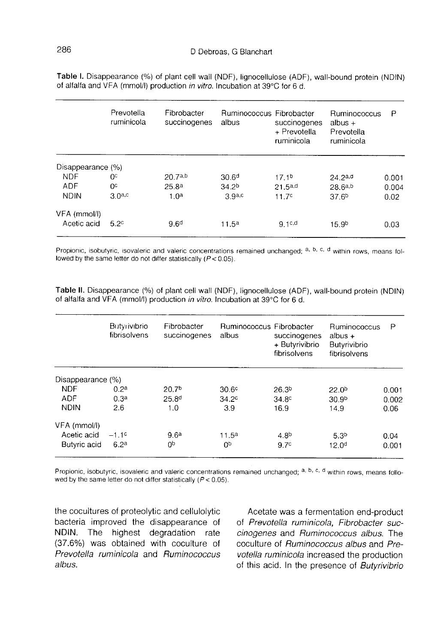|                   | Prevotella<br>ruminicola | Fibrobacter<br>succinogenes | Ruminococcus Fibrobacter<br>albus | succinogenes<br>+ Prevotella<br>ruminicola | Ruminococcus<br>albus $+$<br>Prevotella<br>ruminicola | P     |
|-------------------|--------------------------|-----------------------------|-----------------------------------|--------------------------------------------|-------------------------------------------------------|-------|
| Disappearance (%) |                          |                             |                                   |                                            |                                                       |       |
| <b>NDF</b>        | 0c                       | 20.7a,b                     | 30.6 <sup>d</sup>                 | 17.1 <sup>b</sup>                          | 24,2a,d                                               | 0.001 |
| ADF               | 0c                       | 25.8 <sup>a</sup>           | 34.2 <sup>b</sup>                 | 21.5a,d                                    | 28.6a,b                                               | 0.004 |
| <b>NDIN</b>       | 3.0 <sup>a,c</sup>       | 1.0 <sup>a</sup>            | 3.9a                              | 11.7c                                      | 37.6 <sup>b</sup>                                     | 0.02  |
| VFA (mmol/l)      |                          |                             |                                   |                                            |                                                       |       |
| Acetic acid       | 5.2 <sup>c</sup>         | 9.6 <sup>d</sup>            | 11.5a                             | 9.1c,d                                     | 15.9 <sup>b</sup>                                     | 0.03  |

Table I. Disappearance (%) of plant cell wall (NDF), lignocellulose (ADF), wall-bound protein (NDIN) of alfalfa and VFA (mmol/l) production in vitro. Incubation at 39°C for 6 d.

Propionic, isobutyric, isovaleric and valeric concentrations remained unchanged; a, b, c, d within rows, means followed by the same letter do not differ statistically  $(P < 0.05)$ .

Table II. Disappearance (%) of plant cell wall (NDF), lignocellulose (ADF), wall-bound protein (NDIN) of alfalfa and VFA (mmol/l) production in vitro. Incubation at 39°C for 6 d.

|                   | <b>Butyrivibrio</b><br>fibrisolvens | Fibrobacter<br>succinogenes | Ruminococcus Fibrobacter<br>albus | succinogenes<br>+ Butvrivibrio<br>fibrisolvens | Ruminococcus<br>albus $+$<br>Butyrivibrio<br>fibrisolvens | P     |
|-------------------|-------------------------------------|-----------------------------|-----------------------------------|------------------------------------------------|-----------------------------------------------------------|-------|
| Disappearance (%) |                                     |                             |                                   |                                                |                                                           |       |
| <b>NDF</b>        | 0.2 <sup>a</sup>                    | 20.7 <sup>b</sup>           | 30.6 <sup>c</sup>                 | 26.3 <sup>b</sup>                              | 22.0 <sup>b</sup>                                         | 0.001 |
| <b>ADF</b>        | 0.3 <sup>a</sup>                    | 25.8 <sup>d</sup>           | 34.2 <sup>c</sup>                 | 34.8 <sup>c</sup>                              | 30.9 <sup>b</sup>                                         | 0.002 |
| <b>NDIN</b>       | 2.6                                 | 1.0                         | 3.9                               | 16.9                                           | 14.9                                                      | 0.06  |
| VFA (mmol/l)      |                                     |                             |                                   |                                                |                                                           |       |
| Acetic acid       | $-1.1c$                             | 9.6 <sup>a</sup>            | 11.5 <sup>a</sup>                 | 4.8 <sup>b</sup>                               | 5.3 <sup>b</sup>                                          | 0.04  |
| Butyric acid      | 6.2 <sup>a</sup>                    | 0 <sub>p</sub>              | 0p                                | 9.7 <sup>c</sup>                               | 12.0 <sup>d</sup>                                         | 0.001 |

Propionic, isobutyric, isovaleric and valeric concentrations remained unchanged; a, b, c, d within rows, means followed by the same letter do not differ statistically ( $P < 0.05$ ).

the cocultures of proteolytic and cellulolytic bacteria improved the disappearance of NDIN. The highest degradation rate (37.6%) was obtained with coculture of Prevotella ruminicola and Ruminococcus albus.

Acetate was a fermentation end-product of Prevotella ruminicola, Fibrobacter succinogenes and Ruminococcus albus. The coculture of Ruminococcus albus and Prevotella ruminicola increased the production of this acid. In the presence of Butyrivibrio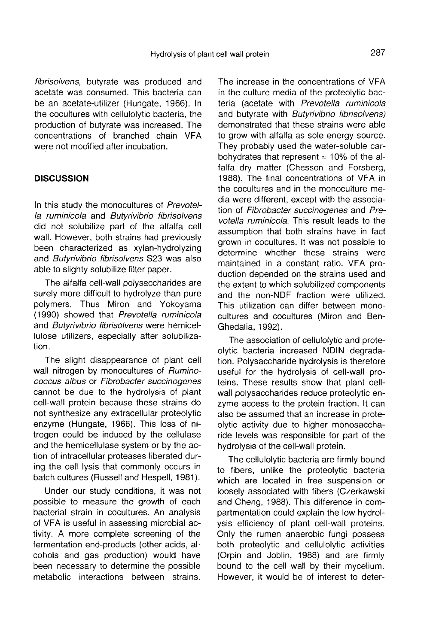fibrisolvens, butyrate was produced and acetate was consumed. This bacteria can be an acetate-utilizer (Hungate, 1966). In the cocultures with cellulolytic bacteria, the production of butyrate was increased. The concentrations of branched chain VFA were not modified after incubation.

## **DISCUSSION**

In this study the monocultures of Prevotella ruminicola and Butyrivibrio fibrisolvens did not solubilize part of the alfalfa cell wall. However, both strains had previously been characterized as xylan-hydrolyzing and Butyrivibrio fibrisolvens S23 was also able to slighty solubilize filter paper.

The alfalfa cell-wall polysaccharides are surely more difficult to hydrolyze than pure polymers. Thus Miron and Yokoyama (1990) showed that Prevotella ruminicola and Butyrivibrio fibrisolvens were hemicellulose utilizers, especially after solubilization.

The slight disappearance of plant cell wall nitrogen by monocultures of Ruminococcus albus or Fibrobacter succinogenes cannot be due to the hydrolysis of plant cell-wall protein because these strains do not synthesize any extracellular proteolytic enzyme (Hungate, 1966). This loss of nitrogen could be induced by the cellulase and the hemicellulase system or by the action of intracellular proteases liberated during the cell lysis that commonly occurs in batch cultures (Russell and Hespell, 1981).

Under our study conditions, it was not possible to measure the growth of each bacterial strain in cocultures. An analysis of VFA is useful in assessing microbial activity. A more complete screening of the fermentation end-products (other acids, alcohols and gas production) would have been necessary to determine the possible metabolic interactions between strains.

The increase in the concentrations of VFA in the culture media of the proteolytic bacteria (acetate with Prevotella ruminicola and butyrate with Butyrivibrio fibrisolvens) demonstrated that these strains were able to grow with alfalfa as sole energy source. They probably used the water-soluble carbohydrates that represent  $\approx 10\%$  of the alfalfa dry matter (Chesson and Forsberg, 1988). The final concentrations of VFA in the cocultures and in the monoculture media were different, except with the association of Fibrobacter succinogenes and Prevotella ruminicola. This result leads to the assumption that both strains have in fact grown in cocultures. It was not possible to determine whether these strains were maintained in a constant ratio. VFA production depended on the strains used and the extent to which solubilized components and the non-NDF fraction were utilized. This utilization can differ between monocultures and cocultures (Miron and Ben-Ghedalia, 1992).

The association of cellulolytic and proteolytic bacteria increased NDIN degradation. Polysaccharide hydrolysis is therefore useful for the hydrolysis of cell-wall proteins. These results show that plant cellwall polysaccharides reduce proteolytic enzyme access to the protein fraction. It can also be assumed that an increase in proteolytic activity due to higher monosaccharide levels was responsible for part of the hydrolysis of the cell-wall protein.

The cellulolytic bacteria are firmly bound to fibers, unlike the proteolytic bacteria which are located in free suspension or loosely associated with fibers (Czerkawski and Cheng, 1988). This difference in compartmentation could explain the low hydrolysis efficiency of plant cell-wall proteins. Only the rumen anaerobic fungi possess both proteolytic and cellulolytic activities (Orpin and Joblin, 1988) and are firmly bound to the cell wall by their mycelium. However, it would be of interest to deter